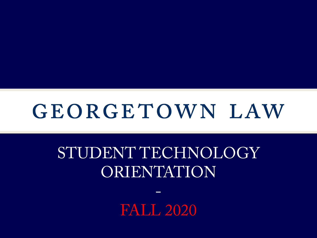# GEORGETOWN LAW

# STUDENT TECHNOLOGY ORIENTATION

FALL 2020

-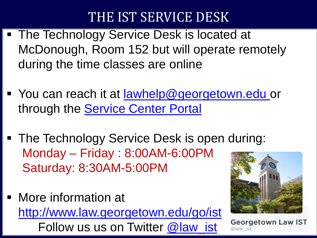### THE IST SERVICE DESK

- The Technology Service Desk is located at McDonough, Room 152 but will operate remotely during the time classes are online
- You can reach it at [lawhelp@georgetown.edu](mailto:lawhelp@georgetown.edu) or through the **Service Center Portal**
- The Technology Service Desk is open during: Monday – Friday : 8:00AM-6:00PM Saturday: 8:30AM-5:00PM
- More information at <http://www.law.georgetown.edu/go/ist> Follow us us on Twitter [@law\\_ist](https://twitter.com/law_ist)



**Georgetown Law IST**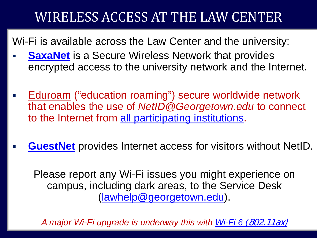### WIRELESS ACCESS AT THE LAW CENTER

Wi-Fi is available across the Law Center and the university:

- **[SaxaNet](https://uis.georgetown.edu/internet/wireless/saxanet)** is a Secure Wireless Network that provides encrypted access to the university network and the Internet.
- [Eduroam](https://uis.georgetown.edu/internet/wireless/eduroam) ("education roaming") secure worldwide network that enables the use of *NetID@Georgetown.edu* to connect to the Internet from [all participating institutions.](https://www.incommon.org/eduroam/eduroam-u-s-connectors/)
- **[GuestNet](https://www.law.georgetown.edu/your-life-career/campus-services/information-systems-technology/collaboration/wireless-network-wi-fi/guestnet/)** provides Internet access for visitors without NetID.

Please report any Wi-Fi issues you might experience on campus, including dark areas, to the Service Desk [\(lawhelp@georgetown.edu](mailto:lawhelp@georgetown.edu)).

*A major Wi-Fi upgrade is underway this with Wi-Fi 6 (*[802.11ax\)](https://www.cnet.com/news/wi-fi-6-and-what-it-means-for-you-wifi-routers/)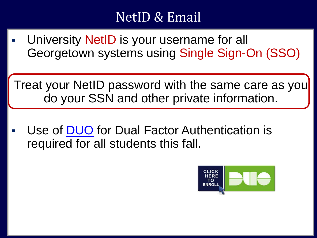### NetID & Email

 University NetID is your username for all Georgetown systems using Single Sign-On (SSO)

Treat your NetID password with the same care as you do your SSN and other private information.

 Use of [DUO](https://uis.georgetown.edu/accounts/netid-password-security/duo/enroll-in-duo) for Dual Factor Authentication is required for all students this fall.

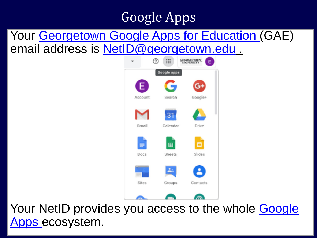## Google Apps

#### Your [Georgetown Google Apps for Education \(](https://apps.georgetown.edu/)GAE) email address is [NetID@georgetown.edu](mailto:NetID@georgetown.edu) .



Your NetID provides you access to the whole Google Apps ecosystem.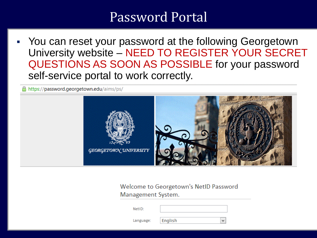#### Password Portal

 You can reset your password at the following Georgetown University website – NEED TO REGISTER YOUR SECRET QUESTIONS AS SOON AS POSSIBLE for your password self-service portal to work correctly.

https://password.georgetown.edu/aims/ps/



#### Welcome to Georgetown's NetID Password Management System.

NetID:

Language:

English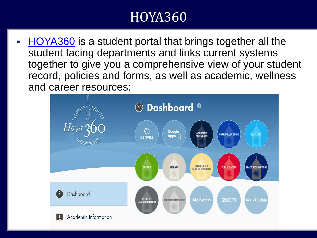### HOYA360

 [HOYA360](https://hoya360.georgetown.edu/) is a student portal that brings together all the student facing departments and links current systems together to give you a comprehensive view of your student record, policies and forms, as well as academic, wellness and career resources:

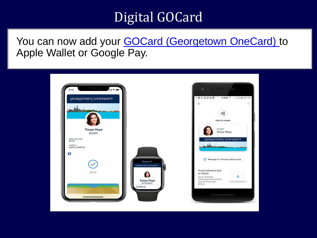### Digital GOCard

You can now add your **GOCard (Georgetown OneCard)** to Apple Wallet or Google Pay.

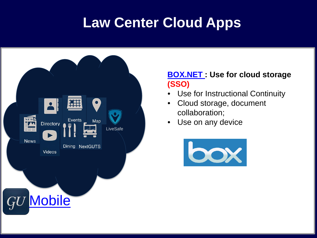## **Law Center Cloud Apps**



#### **[BOX.NET :](https://www.box.com/business/) Use for cloud storage (SSO)**

- Use for Instructional Continuity
- Cloud storage, document collaboration;
- Use on any device

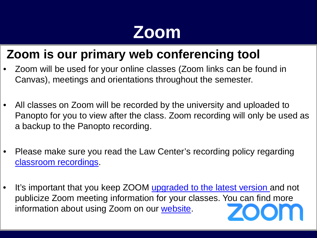# **Zoom**

#### **Zoom is our primary web conferencing tool**

- Zoom will be used for your online classes (Zoom links can be found in Canvas), meetings and orientations throughout the semester.
- All classes on Zoom will be recorded by the university and uploaded to Panopto for you to view after the class. Zoom recording will only be used as a backup to the Panopto recording.
- Please make sure you read the Law Center's recording policy regarding [classroom recordings](http://www.law.georgetown.edu/your-life-career/campus-services/information-systems-technology/policies-and-initiatives/recording-policy/).
- It's important that you keep ZOOM [upgraded to the latest version a](https://support.zoom.us/hc/en-us/articles/201362233-Upgrade-update-to-the-latest-version)nd not publicize Zoom meeting information for your classes. You can find more information about using Zoom on our [website.](http://uis.georgetown.edu/zoom)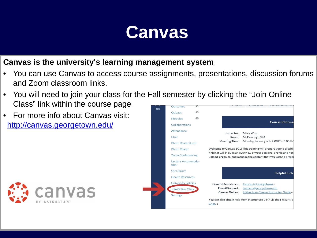

#### **Canvas is the university's learning management system**

- You can use Canvas to access course assignments, presentations, discussion forums and Zoom classroom links.
- You will need to join your class for the Fall semester by clicking the "Join Online Class" link within the course page. Outcomes
- For more info about Canvas visit: <http://canvas.georgetown.edu/>



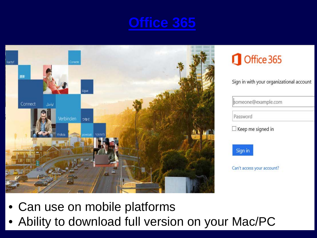



### Office 365

Sign in with your organizational account

someone@example.com

Password

 $\Box$  Keep me signed in



Can't access your account?

- Can use on mobile platforms
- Ability to download full version on your Mac/PC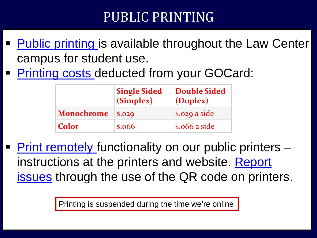### PUBLIC PRINTING

- [Public printing i](https://uis.georgetown.edu/printing/student-printing)s available throughout the Law Center campus for student use.
- [Printing costs d](https://uis.georgetown.edu/printing/student-printing%23rates)educted from your GOCard:

|                   | <b>Single Sided</b><br>(Simplex)                    | <b>Double Sided</b><br>(Duplex)       |
|-------------------|-----------------------------------------------------|---------------------------------------|
| <b>Monochrome</b> | \$.029                                              | \$.029 a side                         |
| <b>Color</b>      | $\boldsymbol{\mathsf{s}}.\boldsymbol{\mathsf{066}}$ | $\boldsymbol{\mathsf{s}}$ .066 a side |

 [Print remotely](https://uis.georgetown.edu/printing/student-printing/mobile-printing) functionality on our public printers – [instructions at the printers and website. Report](https://georgetownuniversity-kmzbf.formstack.com/forms/printing_issues?sso=5cefcc42929f2&sso=5d630b4931901)  issues through the use of the QR code on printers.

Printing is suspended during the time we're online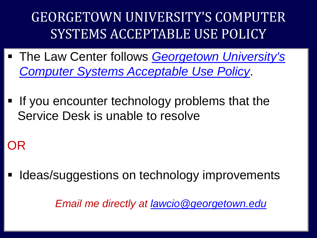GEORGETOWN UNIVERSITY'S COMPUTER SYSTEMS ACCEPTABLE USE POLICY

- The Law Center follows *Georgetown University's [Computer Systems Acceptable Use Policy](https://security.georgetown.edu/it-policies-procedures/computer-systems-aup)*.
- If you encounter technology problems that the Service Desk is unable to resolve

### OR

Ideas/suggestions on technology improvements

*Email me directly at [lawcio@georgetown.edu](mailto:lawcio@georgetown.edu)*